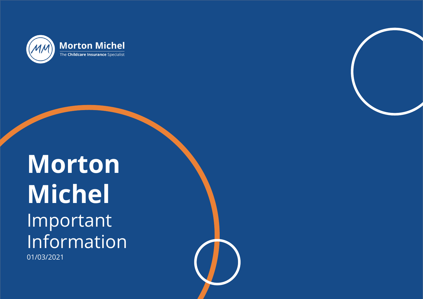

## **PROPERTY**  <u>Understand in the set of the set of</u> What is it and how can it affect you? 01/03/2021**Morton Michel** Important Information

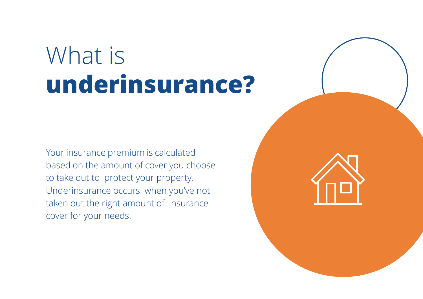# What is **underinsurance?**

Your insurance premium is calculated based on the amount of cover you choose to take out to protect your property. Underinsurance occurs when you've not taken out the right amount of insurance cover for your needs.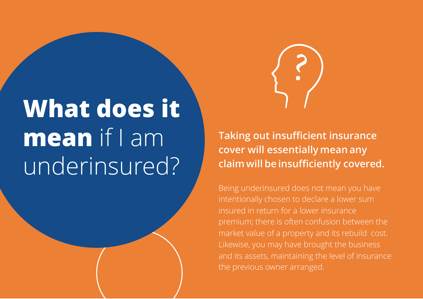

# **What does it mean** if I am underinsured?

**Taking out insufficient insurance cover will essentially mean any claim will be insufficiently covered.**

Being underinsured does not mean you have intentionally chosen to declare a lower sum insured in return for a lower insurance premium; there is often confusion between the market value of a property and its rebuild cost. Likewise, you may have brought the business and its assets, maintaining the level of insurance the previous owner arranged.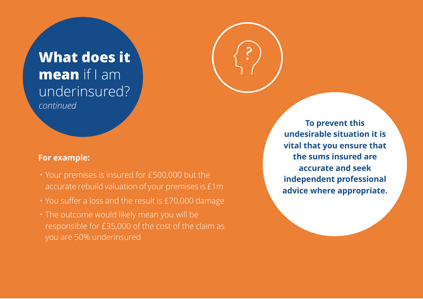## **What does it mean** if I am underinsured? *continued*

### **For example:**

- Your premises is insured for £500,000 but the accurate rebuild valuation of your premises is £1m
- You suffer a loss and the result is £70,000 damage
- The outcome would likely mean you will be responsible for £35,000 of the cost of the claim as you are 50% underinsured

**To prevent this undesirable situation it is vital that you ensure that the sums insured are accurate and seek independent professional advice where appropriate.**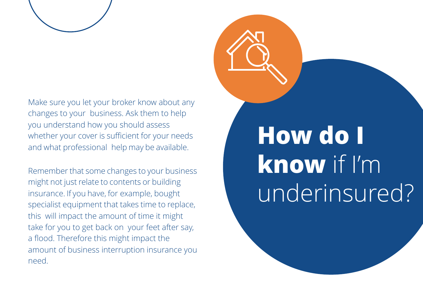

Make sure you let your broker know about any changes to your business. Ask them to help you understand how you should assess whether your cover is sufficient for your needs and what professional help may be available.

Remember that some changes to your business might not just relate to contents or building insurance. If you have, for example, bought specialist equipment that takes time to replace, this will impact the amount of time it might take for you to get back on your feet after say, a flood. Therefore this might impact the amount of business interruption insurance you need.

# **How do I know** if I'm underinsured?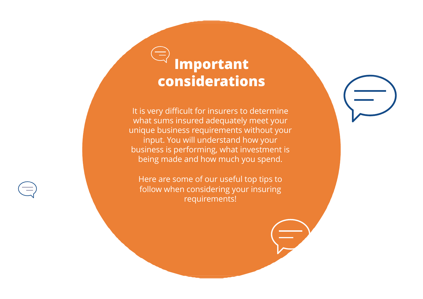## **Important considerations**

It is very difficult for insurers to determine what sums insured adequately meet your unique business requirements without your input. You will understand how your business is performing, what investment is being made and how much you spend.

Here are some of our useful top tips to follow when considering your insuring requirements!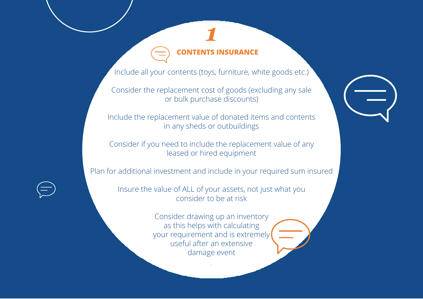### **CONTENTS INSURANCE**

*1*

Include all your contents (toys, furniture, white goods etc.)

Consider the replacement cost of goods (excluding any sale or bulk purchase discounts)

Include the replacement value of donated items and contents in any sheds or outbuildings

Consider if you need to include the replacement value of any leased or hired equipment

Plan for additional investment and include in your required sum insured

Insure the value of ALL of your assets, not just what you consider to be at risk

> Consider drawing up an inventory as this helps with calculating your requirement and is extremely useful after an extensive damage event

> > *.*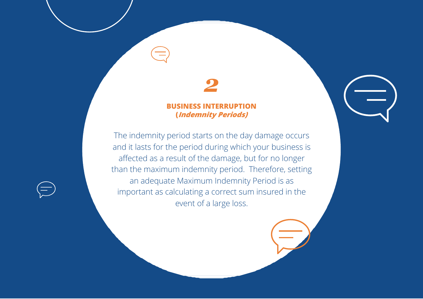## *2*

### **BUSINESS INT (Indemnity Periods)**

The indemnity period starts on the day damage occurs and it lasts for the period during which your business is affected as a result of the damage, but for no longer than the maximum indemnity period. Therefore, setting an adequate Maximum Indemnity Period is as important as calculating a correct sum insured in the event of a large loss.

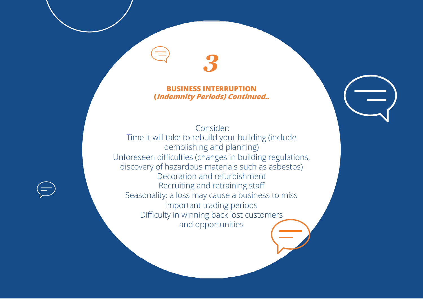### **BUSINESS INTERRUPTION (Indemnity Periods) Continued..**

*3*

Consider: Time it will take to rebuild your building (include demolishing and planning) Unforeseen difficulties (changes in building regulations, discovery of hazardous materials such as asbestos) Decoration and refurbishment Recruiting and retraining staff Seasonality: a loss may cause a business to miss important trading periods Difficulty in winning back lost customers and opportunities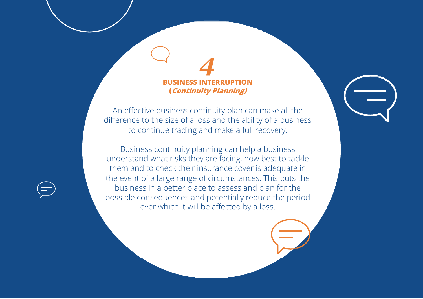**BUSINESS INTERRUPTION (Continuity Planning)**

*4*

An effective business continuity plan can make all the difference to the size of a loss and the ability of a business to continue trading and make a full recovery.

Business continuity planning can help a business understand what risks they are facing, how best to tackle them and to check their insurance cover is adequate in the event of a large range of circumstances. This puts the business in a better place to assess and plan for the possible consequences and potentially reduce the period over which it will be affected by a loss.

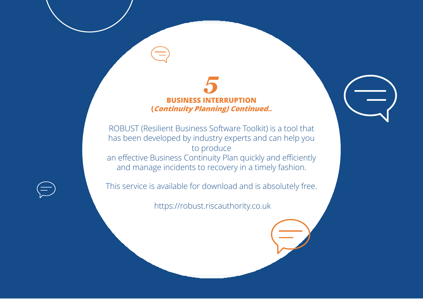### *5* **BUSINESS INTERRUPTION (Continuity Planning) Continued..**

ROBUST (Resilient Business Software Toolkit) is a tool that has been developed by industry experts and can help you to produce an effective Business Continuity Plan quickly and efficiently and manage incidents to recovery in a timely fashion.

This service is available for download and is absolutely free.

https://robust.riscauthority.co.uk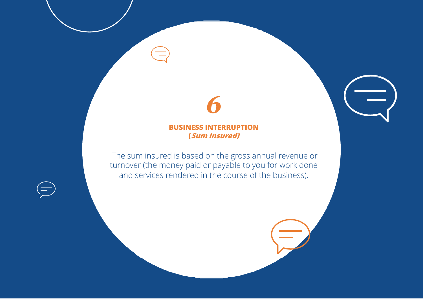### **BUSINESS INTERRUPTION (Sum Insured)**

*6*

The sum insured is based on the gross annual revenue or turnover (the money paid or payable to you for work done and services rendered in the course of the business).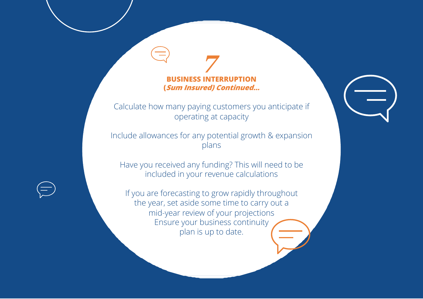### **BUSINESS INTERRUPTION (Sum Insured) Continued…**

*7*

Calculate how many paying customers you anticipate if operating at capacity

Include allowances for any potential growth & expansion plans

Have you received any funding? This will need to be included in your revenue calculations

If you are forecasting to grow rapidly throughout the year, set aside some time to carry out a mid-year review of your projections Ensure your business continuity plan is up to date.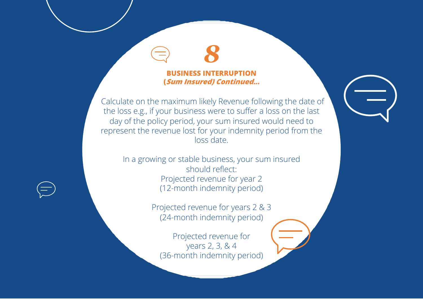### **BUSINESS INTERRUPTION (Sum Insured) Continued…**

*8*

Calculate on the maximum likely Revenue following the date of the loss e.g., if your business were to suffer a loss on the last day of the policy period, your sum insured would need to represent the revenue lost for your indemnity period from the loss date.

In a growing or stable business, your sum insured should reflect: Projected revenue for year 2 (12-month indemnity period)

> Projected revenue for years 2 & 3 (24-month indemnity period)

Projected revenue for years 2, 3, & 4 (36-month indemnity period)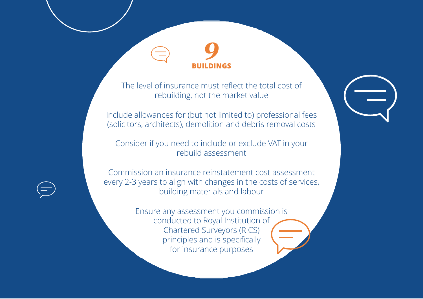### **BUILDINGS**

*9*

The level of insurance must reflect the total cost of rebuilding, not the market value

Include allowances for (but not limited to) professional fees (solicitors, architects), demolition and debris removal costs

Consider if you need to include or exclude VAT in your rebuild assessment

Commission an insurance reinstatement cost assessment every 2-3 years to align with changes in the costs of services, building materials and labour

> Ensure any assessment you commission is conducted to Royal Institution of Chartered Surveyors (RICS) principles and is specifically for insurance purposes